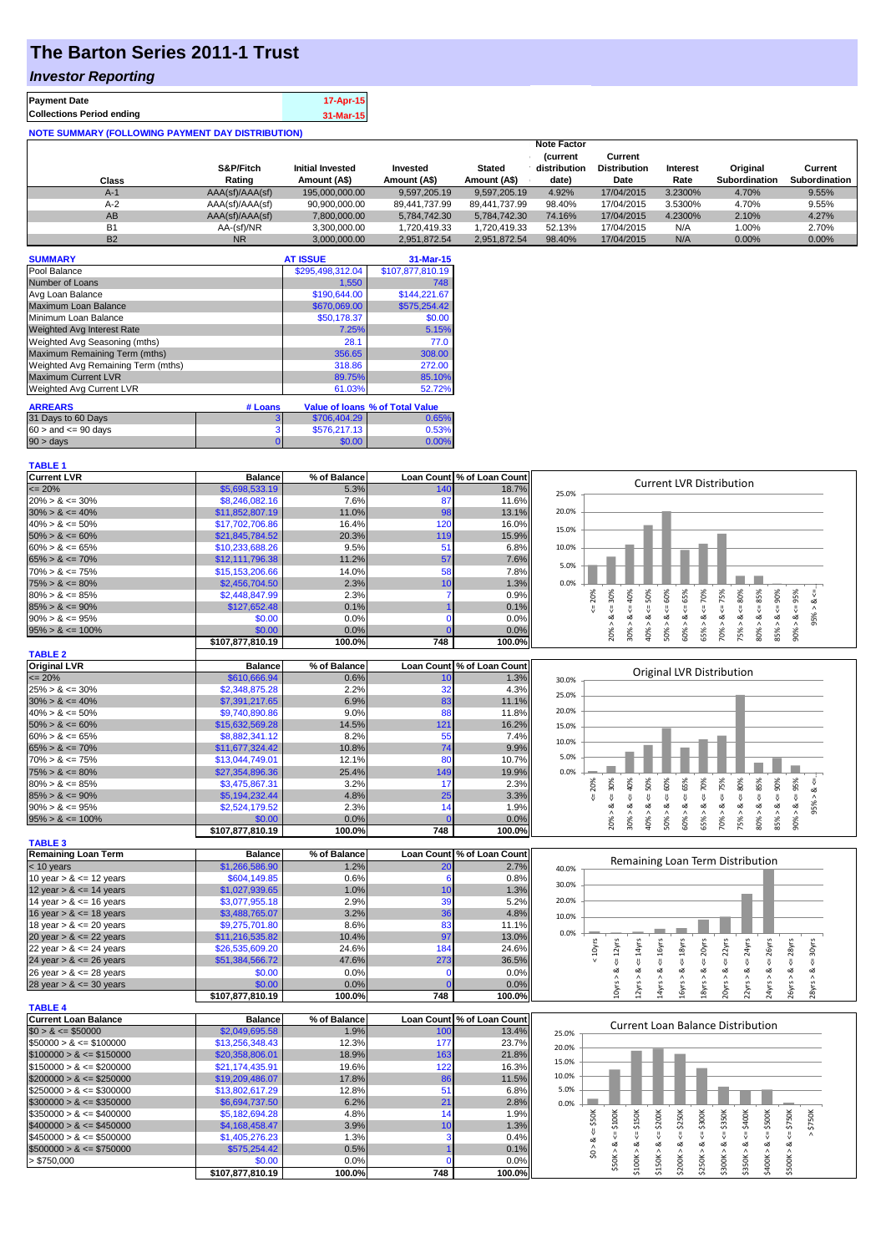## **The Barton Series 2011-1 Trust**

### *Investor Reporting*

| <b>Payment Date</b>              | 17-Apr-15 |
|----------------------------------|-----------|
| <b>Collections Period ending</b> | 31-Mar-15 |
|                                  |           |

| <b>NOTE SUMMARY (FOLLOWING PAYMENT DAY DISTRIBUTION)</b> |                 |                  |               |               |                    |                     |          |                      |                      |
|----------------------------------------------------------|-----------------|------------------|---------------|---------------|--------------------|---------------------|----------|----------------------|----------------------|
|                                                          |                 |                  |               |               | <b>Note Factor</b> |                     |          |                      |                      |
|                                                          |                 |                  |               |               | <b>Current</b>     | Current             |          |                      |                      |
|                                                          | S&P/Fitch       | Initial Invested | Invested      | <b>Stated</b> | distribution       | <b>Distribution</b> | Interest | Original             | Current              |
| Class                                                    | Rating          | Amount (A\$)     | Amount (A\$)  | Amount (A\$)  | date)              | Date                | Rate     | <b>Subordination</b> | <b>Subordination</b> |
| $A-1$                                                    | AAA(sf)/AAA(sf) | 195,000,000,00   | 9,597,205.19  | 9,597,205.19  | 4.92%              | 17/04/2015          | 3.2300%  | 4.70%                | 9.55%                |
| $A-2$                                                    | AAA(sf)/AAA(sf) | 90,900,000.00    | 89,441,737.99 | 89.441.737.99 | 98.40%             | 17/04/2015          | 3.5300%  | 4.70%                | 9.55%                |
| AB                                                       | AAA(sf)/AAA(sf) | 7.800.000.00     | 5.784.742.30  | 5.784.742.30  | 74.16%             | 17/04/2015          | 4.2300%  | 2.10%                | 4.27%                |
| <b>B1</b>                                                | AA-(sf)/NR      | 3.300.000.00     | 1.720.419.33  | 1,720,419.33  | 52.13%             | 17/04/2015          | N/A      | 1.00%                | 2.70%                |
| <b>B2</b>                                                | <b>NR</b>       | 3.000.000.00     | 2.951.872.54  | 2.951.872.54  | 98.40%             | 17/04/2015          | N/A      | $0.00\%$             | $0.00\%$             |

| <b>SUMMARY</b>                     |         | <b>AT ISSUE</b>  | 31-Mar-15                       |
|------------------------------------|---------|------------------|---------------------------------|
| Pool Balance                       |         | \$295,498,312.04 | \$107,877,810.19                |
| Number of Loans                    |         | 1,550            | 748                             |
| Avg Loan Balance                   |         | \$190,644.00     | \$144,221.67                    |
| Maximum Loan Balance               |         | \$670,069.00     | \$575,254.42                    |
| Minimum Loan Balance               |         | \$50,178.37      | \$0.00                          |
| <b>Weighted Avg Interest Rate</b>  |         | 7.25%            | 5.15%                           |
| Weighted Avg Seasoning (mths)      |         | 28.1             | 77.0                            |
| Maximum Remaining Term (mths)      |         | 356.65           | 308.00                          |
| Weighted Avg Remaining Term (mths) |         | 318.86           | 272.00                          |
| <b>Maximum Current LVR</b>         |         | 89.75%           | 85.10%                          |
| Weighted Avg Current LVR           |         | 61.03%           | 52.72%                          |
| <b>ARREARS</b>                     | # Loans |                  | Value of Ioans % of Total Value |
| 31 Days to 60 Days                 | 3       | \$706,404.29     | 0.65%                           |
| $60 >$ and $\leq 90$ days          | 3       | \$576,217.13     | 0.53%                           |
| 90 > days                          | 0       | \$0.00           | 0.00%                           |

# **TABLE 1**<br>Current LVR

| <b>Current LVR</b>                         | <b>Balance</b>   | % of Balance |                   | Loan Count % of Loan Count |                                                                                                                                                                                                                         |
|--------------------------------------------|------------------|--------------|-------------------|----------------------------|-------------------------------------------------------------------------------------------------------------------------------------------------------------------------------------------------------------------------|
| $\epsilon = 20\%$                          | \$5,698,533,19   | 5.3%         | 140               | 18.7%                      | <b>Current LVR Distribution</b>                                                                                                                                                                                         |
| $20\% > 8 \le 30\%$                        | \$8,246,082.16   | 7.6%         | 87                | 11.6%                      | 25.0%                                                                                                                                                                                                                   |
| $30\% > 8 \le 40\%$                        | \$11,852,807.19  | 11.0%        | 98                | 13.1%                      | 20.0%                                                                                                                                                                                                                   |
| $40\% > 8 \le 50\%$                        | \$17,702,706.86  | 16.4%        | 120               | 16.0%                      |                                                                                                                                                                                                                         |
| $50\% > 8 \le 60\%$                        | \$21,845,784.52  | 20.3%        | 119               | 15.9%                      | 15.0%                                                                                                                                                                                                                   |
| $60\% > 8 \le 65\%$                        | \$10,233,688.26  | 9.5%         | 51                | 6.8%                       | 10.0%                                                                                                                                                                                                                   |
| $65\% > 8 \le 70\%$                        | \$12,111,796.38  | 11.2%        | 57                | 7.6%                       |                                                                                                                                                                                                                         |
| $70\% > 8 \le 75\%$                        | \$15,153,206.66  | 14.0%        | 58                | 7.8%                       | 5.0%                                                                                                                                                                                                                    |
| $75\% > 8 \le 80\%$                        | \$2,456,704.50   | 2.3%         | 10                | 1.3%                       | 0.0%                                                                                                                                                                                                                    |
| $80\% > 8 \le 85\%$                        | \$2,448,847.99   | 2.3%         | 7                 | 0.9%                       | 50%<br>20%                                                                                                                                                                                                              |
| $85\% > 8 \le 90\%$                        | \$127,652.48     | 0.1%         |                   | 0.1%                       | 40%<br>$<= 65\%$<br>$4 = 70\%$<br>$<=80\%$<br>$4 = 85\%$<br>$4 = 95\%$<br>$<= 60\%$<br>ઌ<br>$\boldsymbol{\wedge}$                                                                                                       |
| $90\% > 8 \le 95\%$                        | \$0.00           | 0.0%         | $\Omega$          | 0.0%                       | $70\% > 8 <= 75\%$<br>$85% > 8 < = 90%$<br>$20\% > 8 <= 30\%$<br>₹<br>95%<br>ઌ<br>ಷ<br>ઌ                                                                                                                                |
| $95\% > 8 \le 100\%$                       | \$0.00           | 0.0%         |                   | 0.0%                       | 50% > 8<br>30% > 8<br>75% > 8<br>80% >                                                                                                                                                                                  |
|                                            | \$107,877,810.19 | 100.0%       | 748               | 100.0%                     | $-8 < 900$<br>60% > 8.<br>65% ><br>40% >                                                                                                                                                                                |
| <b>TABLE 2</b>                             |                  |              |                   |                            |                                                                                                                                                                                                                         |
| <b>Original LVR</b>                        | <b>Balance</b>   | % of Balance |                   | Loan Count % of Loan Count |                                                                                                                                                                                                                         |
| $\epsilon = 20\%$                          | \$610,666.94     |              |                   |                            | Original LVR Distribution                                                                                                                                                                                               |
|                                            |                  | 0.6%         | 10<br>32          | 1.3%                       | 30.0%                                                                                                                                                                                                                   |
| $25\% > 8 \le 30\%$<br>$30\% > 8 \le 40\%$ | \$2,348,875.28   | 2.2%         |                   | 4.3%                       | 25.0%                                                                                                                                                                                                                   |
|                                            | \$7,391,217.65   | 6.9%         | 83                | 11.1%                      | 20.0%                                                                                                                                                                                                                   |
| $40\% > 8 \le 50\%$                        | \$9,740,890.86   | 9.0%         | 88                | 11.8%                      |                                                                                                                                                                                                                         |
| $50\% > 8 \le 60\%$                        | \$15,632,569.28  | 14.5%        | 121               | 16.2%                      | 15.0%                                                                                                                                                                                                                   |
| $60\% > 8 \le 65\%$                        | \$8,882,341.12   | 8.2%         | 55                | 7.4%                       | 10.0%                                                                                                                                                                                                                   |
| $65\% > 8 \le 70\%$                        | \$11,677,324.42  | 10.8%        | 74                | 9.9%                       | 5.0%                                                                                                                                                                                                                    |
| $70\% > 8 \le 75\%$                        | \$13,044,749.01  | 12.1%        | 80                | 10.7%                      |                                                                                                                                                                                                                         |
| $75\% > 8 \le 80\%$                        | \$27,354,896.36  | 25.4%        | 149               | 19.9%                      | 0.0%<br>₩                                                                                                                                                                                                               |
| $80\% > 8 \le 85\%$                        | \$3,475,867.31   | 3.2%         | 17                | 2.3%                       | $4 = 30\%$<br>50%<br>$4 = 70\%$<br>$8 < = 85\%$<br>20%<br>$4 - 40%$                                                                                                                                                     |
| $85\% > 8 \le 90\%$                        | \$5,194,232.44   | 4.8%         | 25                | 3.3%                       | 95% > 8<br>₹                                                                                                                                                                                                            |
| $90\% > 8 \le 95\%$                        | \$2,524,179.52   | 2.3%         | 14                | 1.9%                       | $\frac{8}{1}$<br>ઌૻ<br>ઌૢ<br>જ                                                                                                                                                                                          |
| $95\% > 8 \le 100\%$                       | \$0.00           | 0.0%         |                   | 0.0%                       | $70\% > 8 <= 75\%$<br>$75\% > 8 <= 80\%$<br>$85% > 8 <= 90%$<br>$50\% > 8 <= 60\%$<br>$60\% > 8 <= 65\%$<br>$90\% > 8 <= 95\%$<br>30% > i<br>65% ><br>80% ><br>20%<br>40%                                               |
|                                            | \$107,877,810.19 | 100.0%       | 748               | 100.0%                     |                                                                                                                                                                                                                         |
| <b>TABLE 3</b>                             |                  |              |                   |                            |                                                                                                                                                                                                                         |
| <b>Remaining Loan Term</b>                 | <b>Balance</b>   | % of Balance |                   | Loan Count % of Loan Count | Remaining Loan Term Distribution                                                                                                                                                                                        |
| $<$ 10 years                               | \$1,266,586.90   | 1.2%         | 20                | 2.7%                       | 40.0%                                                                                                                                                                                                                   |
| 10 year $> 8 \le 12$ years                 | \$604,149.85     | 0.6%         | -6                | 0.8%                       | 30.0%                                                                                                                                                                                                                   |
| 12 year $> 8 \le 14$ years                 | \$1,027,939.65   | 1.0%         | 10                | 1.3%                       |                                                                                                                                                                                                                         |
| 14 year $> 8 \le 16$ years                 | \$3,077,955.18   | 2.9%         | 39                | 5.2%                       | 20.0%                                                                                                                                                                                                                   |
| 16 year $> 8 \le 18$ years                 | \$3,488,765.07   | 3.2%         | 36                | 4.8%                       | 10.0%                                                                                                                                                                                                                   |
| 18 year $> 8 \le 20$ years                 | \$9,275,701.80   | 8.6%         | 83                | 11.1%                      |                                                                                                                                                                                                                         |
| 20 year $> 8 \le 22$ years                 | \$11,216,535.82  | 10.4%        | 97                | 13.0%                      | 0.0%                                                                                                                                                                                                                    |
| 22 year $> 8 \le 24$ years                 | \$26,535,609.20  | 24.6%        | 184               | 24.6%                      | < 10yrs<br>$\le$ = 16 $yrs$<br>$\le$ = 18 $yrs$<br>20yrs<br>22yrs<br>24yrs<br>$\epsilon$ = 26yrs<br>$\epsilon$ = 12 $\gamma$ rs<br>$\le$ = 14 $\gamma$ rs<br>$\epsilon$ = 28 $\gamma$ rs<br>$\epsilon$ = 30 $\gamma$ rs |
| 24 year $> 8 \le 26$ years                 | \$51,384,566.72  | 47.6%        | 273               | 36.5%                      | $\frac{1}{\sqrt{2}}$<br>$\sqrt{ }$                                                                                                                                                                                      |
| 26 year $> 8 \le 28$ years                 | \$0.00           | 0.0%         |                   | 0.0%                       | ઌ<br>ઌૢ<br>ಷ<br>ઌ<br>ઌ<br>ઌ<br>ವ<br>ಷ                                                                                                                                                                                   |
| 28 year $> 8 \le 30$ years                 | \$0.00           | 0.0%         |                   | 0.0%                       | 10yrs > 8<br>12yrs > 8<br>14yrs > 8<br>16yrs > 8<br>18yrs > 8<br>24yrs ><br>26yrs > b<br>20yrs ><br>22yrs ><br>28yrs                                                                                                    |
|                                            | \$107,877,810.19 | 100.0%       | 748               | 100.0%                     |                                                                                                                                                                                                                         |
| <b>TABLE 4</b>                             |                  |              |                   |                            |                                                                                                                                                                                                                         |
| <b>Current Loan Balance</b>                | <b>Balance</b>   | % of Balance | <b>Loan Count</b> | % of Loan Count            | <b>Current Loan Balance Distribution</b>                                                                                                                                                                                |
| $$0 > 8 \leq $50000$                       | \$2,049,695.58   | 1.9%         | 10 <sub>C</sub>   | 13.4%                      | 25.0%                                                                                                                                                                                                                   |
| $$50000 > 8 \le $100000$                   | \$13,256,348.43  | 12.3%        | 177               | 23.7%                      | 20.0%                                                                                                                                                                                                                   |
| $$100000 > 8 \leq $150000$                 | \$20,358,806.01  | 18.9%        | 163               | 21.8%                      | 15.0%                                                                                                                                                                                                                   |
| $$150000 > 8 \leq $200000$                 | \$21,174,435.91  | 19.6%        | 122               | 16.3%                      |                                                                                                                                                                                                                         |
| $$200000 > 8 \leq $250000$                 | \$19,209,486.07  | 17.8%        | 86                | 11.5%                      | 10.0%                                                                                                                                                                                                                   |
| $$250000 > 8 \leq $300000$                 | \$13,802,617.29  | 12.8%        | 51                | 6.8%                       | 5.0%                                                                                                                                                                                                                    |
| $$300000 > 8 \leq $350000$                 | \$6,694,737.50   | 6.2%         | 21                | 2.8%                       | 0.0%                                                                                                                                                                                                                    |
| $$350000 > 8 \leq $400000$                 | \$5,182,694.28   | 4.8%         | 14                | 1.9%                       |                                                                                                                                                                                                                         |
| $$400000 > 8 <= $450000$                   | \$4,168,458.47   | 3.9%         | 10                | 1.3%                       | $4 = $400K$<br>$4 = $500K$<br>\$200K<br>\$250K<br>\$300K<br>$4 = $350K$<br>$4 = $750K$<br>$4 = $100K$<br>\$150K<br>\$750K<br>$4 = $50K$                                                                                 |
| $$450000 > 8 \leq $500000$                 | \$1,405,276.23   | 1.3%         | з                 | 0.4%                       |                                                                                                                                                                                                                         |
| $$500000 > 8 \leq $750000$                 | \$575,254.42     | 0.5%         |                   | 0.1%                       | \$0 > 8                                                                                                                                                                                                                 |
| > \$750,000                                | \$0.00           | 0.0%         |                   | 0.0%                       | \$50K > 8<br>\$350K > 8<br>\$400K > 8<br>\$500K > 8<br>\$100K > 8<br>\$150K > 8<br>\$200K > 8<br>\$250K > 8<br>\$300K > 8                                                                                               |
|                                            | \$107,877,810.19 | 100.0%       | 748               | 100.0%                     |                                                                                                                                                                                                                         |
|                                            |                  |              |                   |                            |                                                                                                                                                                                                                         |